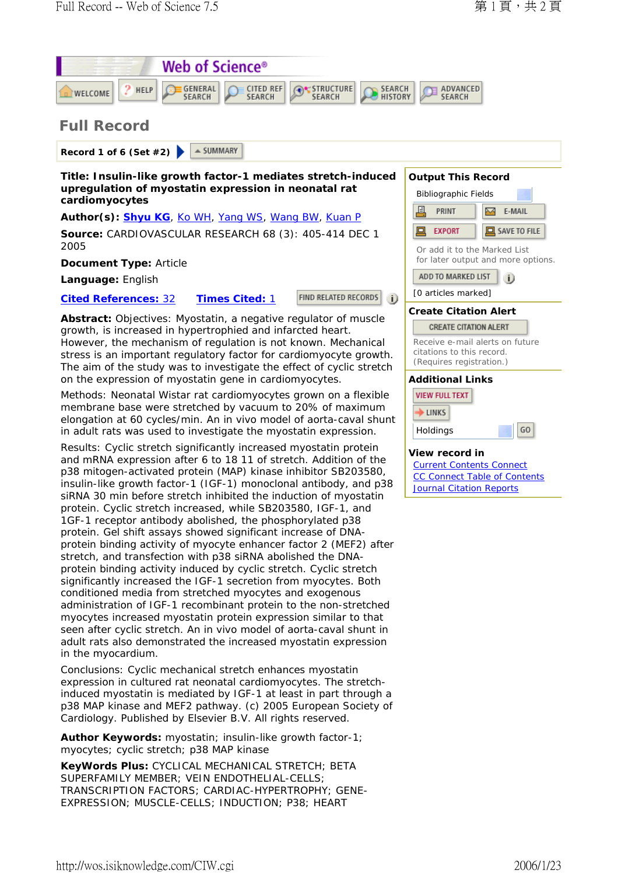

http://wos.isiknowledge.com/CIW.cgi 2006/1/23

myocytes; cyclic stretch; p38 MAP kinase

in the myocardium.

myocytes increased myostatin protein expression similar to that seen after cyclic stretch. An in vivo model of aorta-caval shunt in adult rats also demonstrated the increased myostatin expression

Conclusions: Cyclic mechanical stretch enhances myostatin expression in cultured rat neonatal cardiomyocytes. The stretchinduced myostatin is mediated by IGF-1 at least in part through a p38 MAP kinase and MEF2 pathway. (c) 2005 European Society of

Cardiology. Published by Elsevier B.V. All rights reserved. **Author Keywords:** myostatin; insulin-like growth factor-1;

**KeyWords Plus:** CYCLICAL MECHANICAL STRETCH; BETA SUPERFAMILY MEMBER; VEIN ENDOTHELIAL-CELLS;

TRANSCRIPTION FACTORS; CARDIAC-HYPERTROPHY; GENE-EXPRESSION; MUSCLE-CELLS; INDUCTION; P38; HEART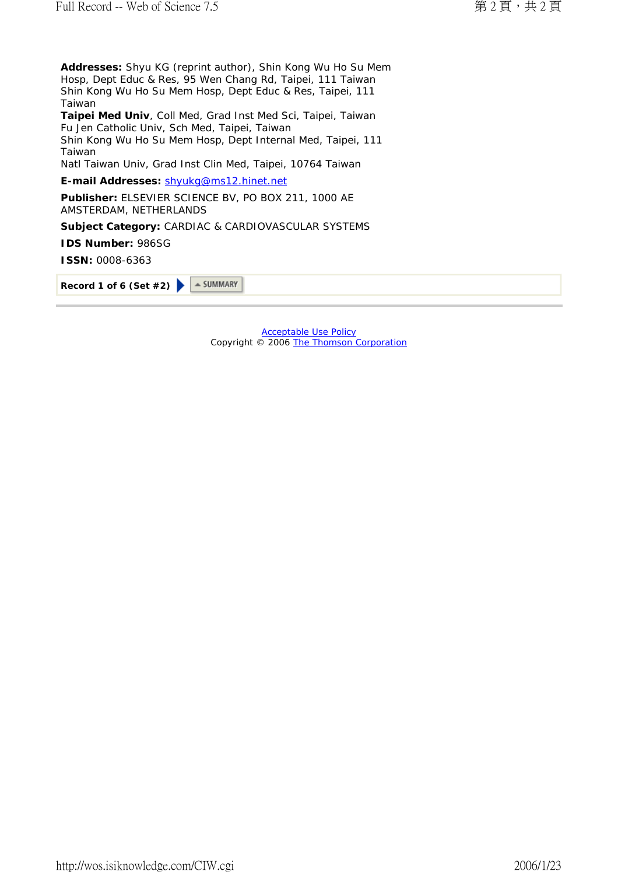**Addresses:** Shyu KG (reprint author), Shin Kong Wu Ho Su Mem Hosp, Dept Educ & Res, 95 Wen Chang Rd, Taipei, 111 Taiwan Shin Kong Wu Ho Su Mem Hosp, Dept Educ & Res, Taipei, 111 Taiwan

**Taipei Med Univ**, Coll Med, Grad Inst Med Sci, Taipei, Taiwan Fu Jen Catholic Univ, Sch Med, Taipei, Taiwan Shin Kong Wu Ho Su Mem Hosp, Dept Internal Med, Taipei, 111

Taiwan Natl Taiwan Univ, Grad Inst Clin Med, Taipei, 10764 Taiwan

**E-mail Addresses:** shyukg@ms12.hinet.net

**Publisher:** ELSEVIER SCIENCE BV, PO BOX 211, 1000 AE AMSTERDAM, NETHERLANDS

**Subject Category:** CARDIAC & CARDIOVASCULAR SYSTEMS

**IDS Number:** 986SG

**ISSN:** 0008-6363

 $\triangle$  SUMMARY **Record 1 of 6 (Set #2)**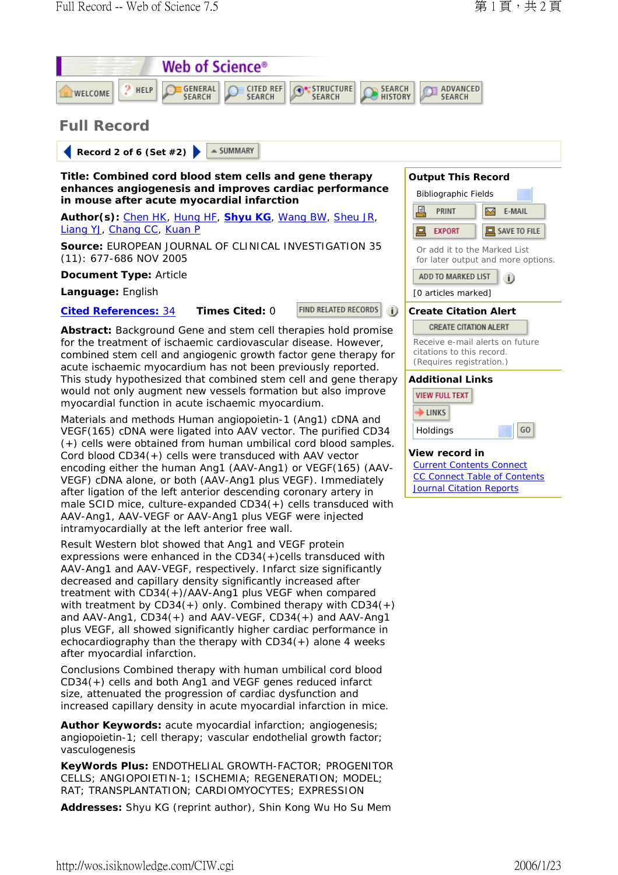

with treatment by CD34(+) only. Combined therapy with CD34(+) and AAV-Ang1, CD34(+) and AAV-VEGF, CD34(+) and AAV-Ang1 plus VEGF, all showed significantly higher cardiac performance in echocardiography than the therapy with CD34(+) alone 4 weeks after myocardial infarction.

Conclusions Combined therapy with human umbilical cord blood CD34(+) cells and both Ang1 and VEGF genes reduced infarct size, attenuated the progression of cardiac dysfunction and increased capillary density in acute myocardial infarction in mice.

**Author Keywords:** acute myocardial infarction; angiogenesis; angiopoietin-1; cell therapy; vascular endothelial growth factor; vasculogenesis

**KeyWords Plus:** ENDOTHELIAL GROWTH-FACTOR; PROGENITOR CELLS; ANGIOPOIETIN-1; ISCHEMIA; REGENERATION; MODEL; RAT; TRANSPLANTATION; CARDIOMYOCYTES; EXPRESSION

**Addresses:** Shyu KG (reprint author), Shin Kong Wu Ho Su Mem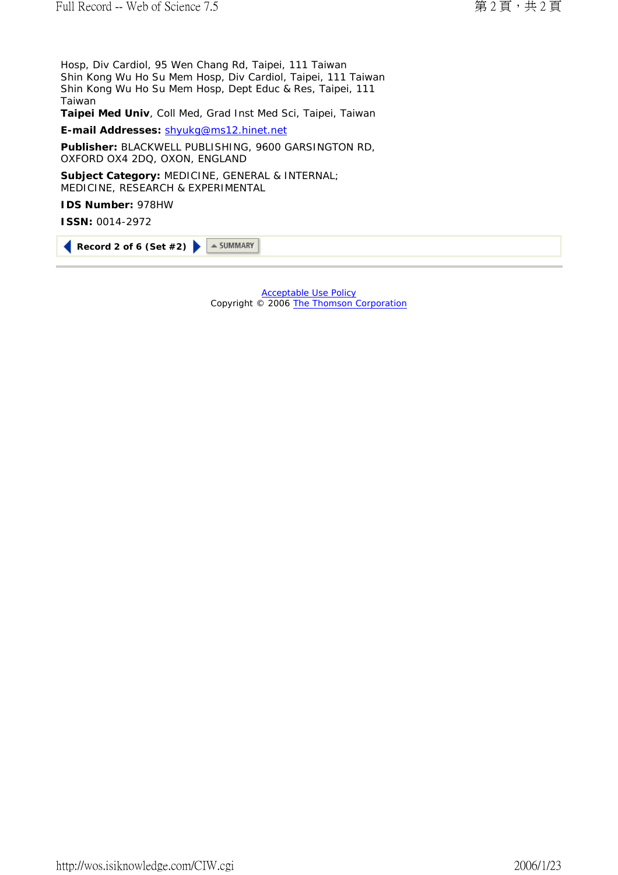Hosp, Div Cardiol, 95 Wen Chang Rd, Taipei, 111 Taiwan Shin Kong Wu Ho Su Mem Hosp, Div Cardiol, Taipei, 111 Taiwan Shin Kong Wu Ho Su Mem Hosp, Dept Educ & Res, Taipei, 111 Taiwan

**Taipei Med Univ**, Coll Med, Grad Inst Med Sci, Taipei, Taiwan

**E-mail Addresses:** shyukg@ms12.hinet.net

**Publisher:** BLACKWELL PUBLISHING, 9600 GARSINGTON RD, OXFORD OX4 2DQ, OXON, ENGLAND

**Subject Category:** MEDICINE, GENERAL & INTERNAL; MEDICINE, RESEARCH & EXPERIMENTAL

**IDS Number:** 978HW

**ISSN:** 0014-2972

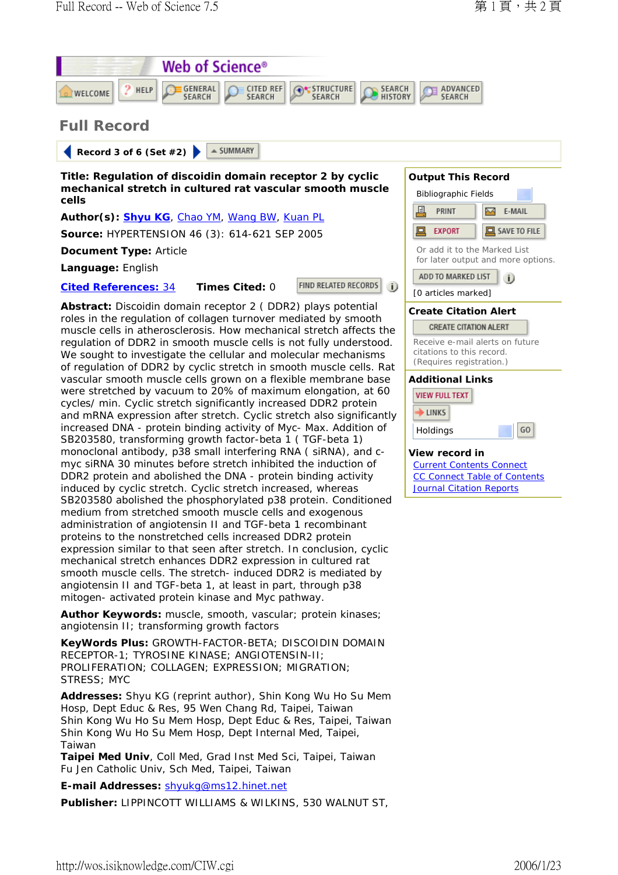

angiotensin II; transforming growth factors

**KeyWords Plus:** GROWTH-FACTOR-BETA; DISCOIDIN DOMAIN RECEPTOR-1; TYROSINE KINASE; ANGIOTENSIN-II; PROLIFERATION; COLLAGEN; EXPRESSION; MIGRATION; STRESS; MYC

**Addresses:** Shyu KG (reprint author), Shin Kong Wu Ho Su Mem Hosp, Dept Educ & Res, 95 Wen Chang Rd, Taipei, Taiwan Shin Kong Wu Ho Su Mem Hosp, Dept Educ & Res, Taipei, Taiwan Shin Kong Wu Ho Su Mem Hosp, Dept Internal Med, Taipei, Taiwan

**Taipei Med Univ**, Coll Med, Grad Inst Med Sci, Taipei, Taiwan Fu Jen Catholic Univ, Sch Med, Taipei, Taiwan

**E-mail Addresses:** shyukg@ms12.hinet.net

**Publisher:** LIPPINCOTT WILLIAMS & WILKINS, 530 WALNUT ST,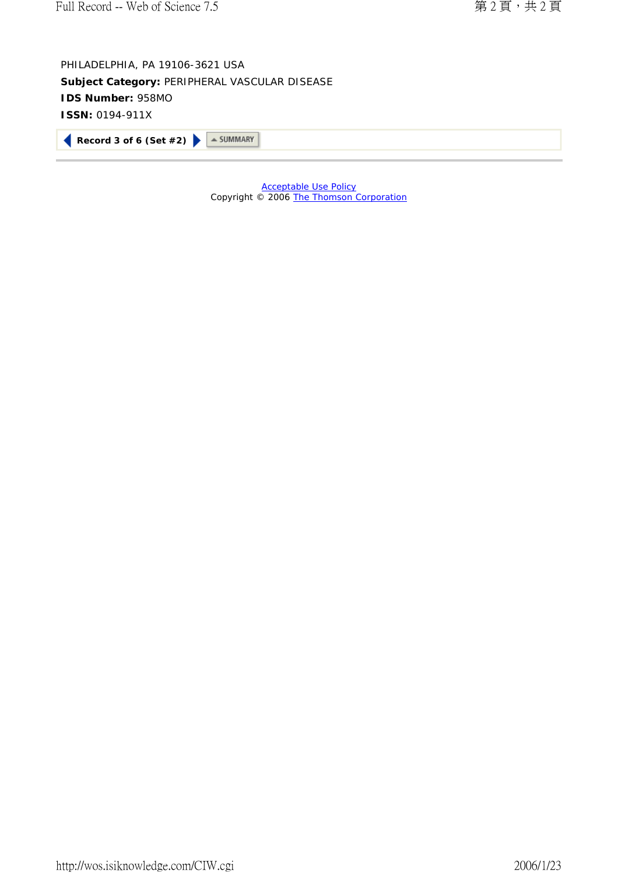PHILADELPHIA, PA 19106-3621 USA **Subject Category:** PERIPHERAL VASCULAR DISEASE **IDS Number:** 958MO **ISSN:** 0194-911X

**Record 3 of 6 (Set #2) > SUMMARY**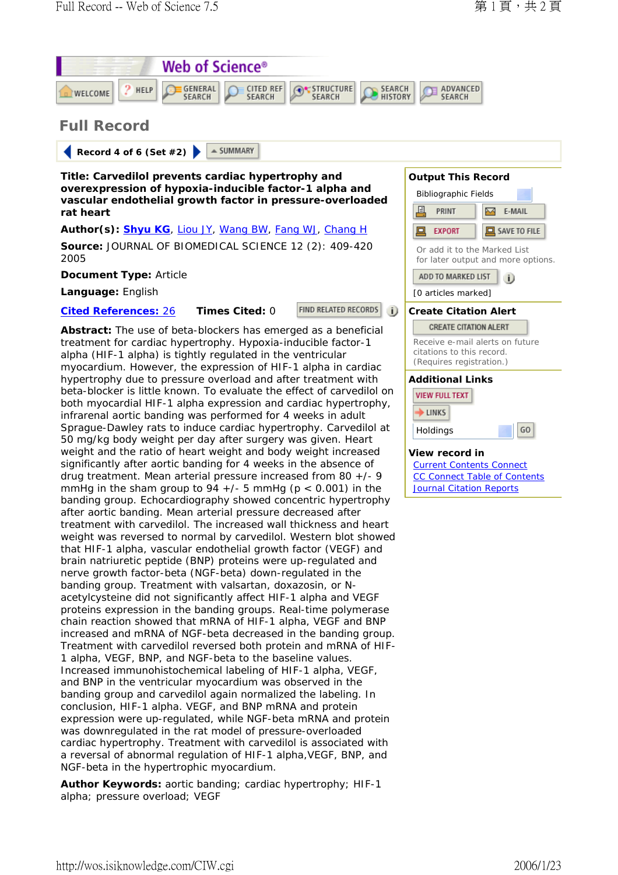

alpha; pressure overload; VEGF

NGF-beta in the hypertrophic myocardium.

conclusion, HIF-1 alpha. VEGF, and BNP mRNA and protein expression were up-regulated, while NGF-beta mRNA and protein was downregulated in the rat model of pressure-overloaded cardiac hypertrophy. Treatment with carvedilol is associated with a reversal of abnormal regulation of HIF-1 alpha,VEGF, BNP, and

**Author Keywords:** aortic banding; cardiac hypertrophy; HIF-1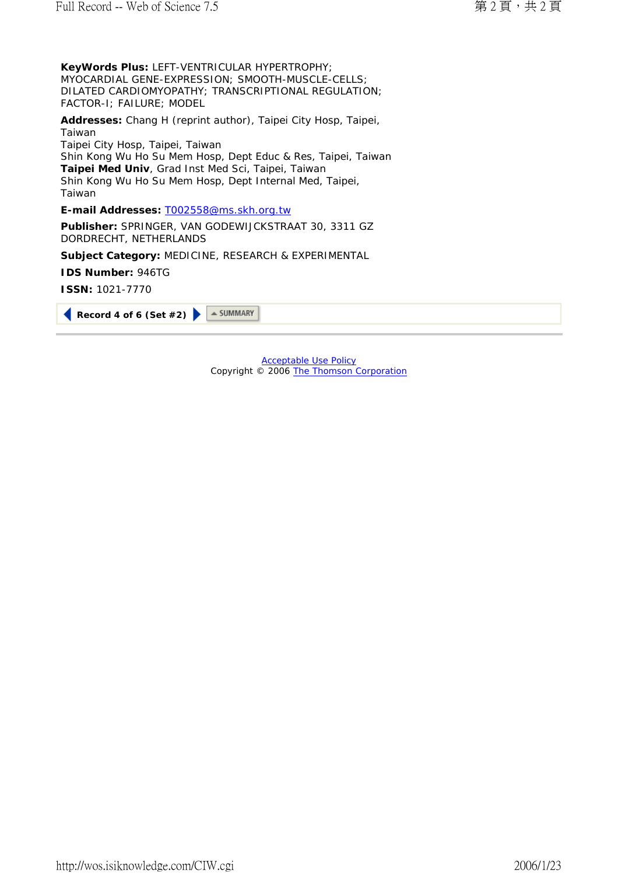**KeyWords Plus:** LEFT-VENTRICULAR HYPERTROPHY; MYOCARDIAL GENE-EXPRESSION; SMOOTH-MUSCLE-CELLS; DILATED CARDIOMYOPATHY; TRANSCRIPTIONAL REGULATION; FACTOR-I; FAILURE; MODEL

**Addresses:** Chang H (reprint author), Taipei City Hosp, Taipei, Taiwan Taipei City Hosp, Taipei, Taiwan Shin Kong Wu Ho Su Mem Hosp, Dept Educ & Res, Taipei, Taiwan **Taipei Med Univ**, Grad Inst Med Sci, Taipei, Taiwan Shin Kong Wu Ho Su Mem Hosp, Dept Internal Med, Taipei, Taiwan

**E-mail Addresses:** T002558@ms.skh.org.tw

**Publisher:** SPRINGER, VAN GODEWIJCKSTRAAT 30, 3311 GZ DORDRECHT, NETHERLANDS

**Subject Category:** MEDICINE, RESEARCH & EXPERIMENTAL

**IDS Number:** 946TG

**ISSN:** 1021-7770

|--|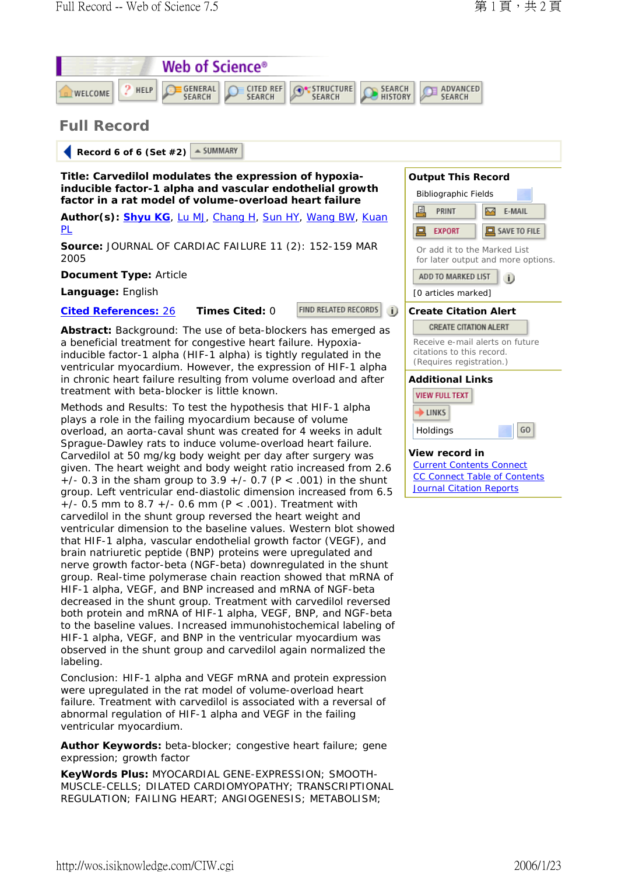

## **Full Record**

 $=$  SUMMARY  **Record 6 of 6 (Set #2)** 

**Title: Carvedilol modulates the expression of hypoxiainducible factor-1 alpha and vascular endothelial growth factor in a rat model of volume-overload heart failure**

**Author(s): Shyu KG**, Lu MJ, Chang H, Sun HY, Wang BW, Kuan PL

**Source:** JOURNAL OF CARDIAC FAILURE 11 (2): 152-159 MAR 2005

## **Document Type:** Article

**Language:** English

**Cited References:** 26 **Times Cited:** 0

FIND RELATED RECORDS

**Abstract:** Background: The use of beta-blockers has emerged as a beneficial treatment for congestive heart failure. Hypoxiainducible factor-1 alpha (HIF-1 alpha) is tightly regulated in the ventricular myocardium. However, the expression of HIF-1 alpha in chronic heart failure resulting from volume overload and after treatment with beta-blocker is little known.

Methods and Results: To test the hypothesis that HIF-1 alpha plays a role in the failing myocardium because of volume overload, an aorta-caval shunt was created for 4 weeks in adult Sprague-Dawley rats to induce volume-overload heart failure. Carvedilol at 50 mg/kg body weight per day after surgery was given. The heart weight and body weight ratio increased from 2.6  $+/-$  0.3 in the sham group to 3.9  $+/-$  0.7 (P < .001) in the shunt group. Left ventricular end-diastolic dimension increased from 6.5  $+/-$  0.5 mm to 8.7  $+/-$  0.6 mm (P < .001). Treatment with carvedilol in the shunt group reversed the heart weight and ventricular dimension to the baseline values. Western blot showed that HIF-1 alpha, vascular endothelial growth factor (VEGF), and brain natriuretic peptide (BNP) proteins were upregulated and nerve growth factor-beta (NGF-beta) downregulated in the shunt group. Real-time polymerase chain reaction showed that mRNA of HIF-1 alpha, VEGF, and BNP increased and mRNA of NGF-beta decreased in the shunt group. Treatment with carvedilol reversed both protein and mRNA of HIF-1 alpha, VEGF, BNP, and NGF-beta to the baseline values. Increased immunohistochemical labeling of HIF-1 alpha, VEGF, and BNP in the ventricular myocardium was observed in the shunt group and carvedilol again normalized the labeling.

Conclusion: HIF-1 alpha and VEGF mRNA and protein expression were upregulated in the rat model of volume-overload heart failure. Treatment with carvedilol is associated with a reversal of abnormal regulation of HIF-1 alpha and VEGF in the failing ventricular myocardium.

**Author Keywords:** beta-blocker; congestive heart failure; gene expression; growth factor

**KeyWords Plus:** MYOCARDIAL GENE-EXPRESSION; SMOOTH-MUSCLE-CELLS; DILATED CARDIOMYOPATHY; TRANSCRIPTIONAL REGULATION; FAILING HEART; ANGIOGENESIS; METABOLISM;



## **View record in**

Holdings

Current Contents Connect CC Connect Table of Contents **Journal Citation Reports** 

GO